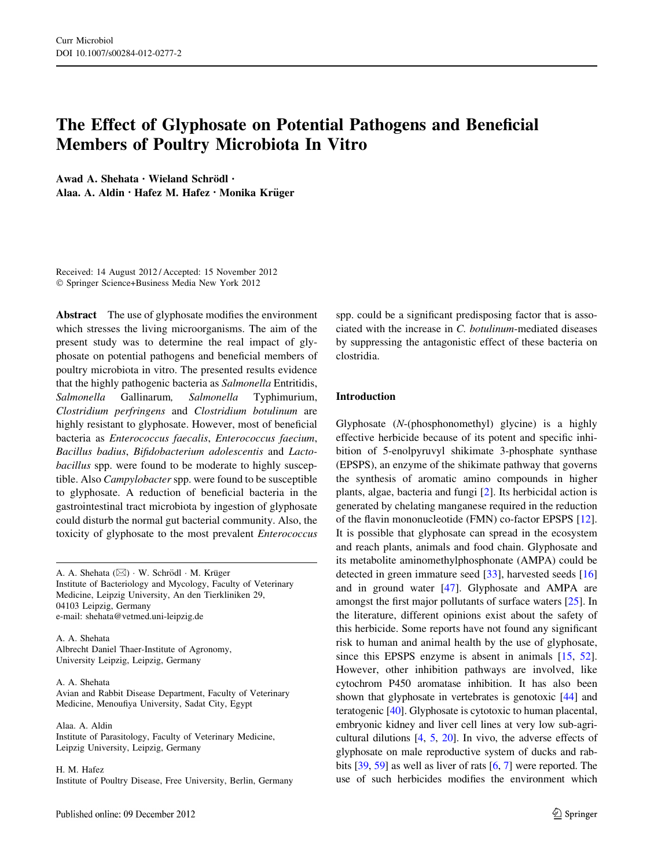# The Effect of Glyphosate on Potential Pathogens and Beneficial Members of Poultry Microbiota In Vitro

Awad A. Shehata · Wieland Schrödl · Alaa. A. Aldin · Hafez M. Hafez · Monika Krüger

Received: 14 August 2012 / Accepted: 15 November 2012 - Springer Science+Business Media New York 2012

Abstract The use of glyphosate modifies the environment which stresses the living microorganisms. The aim of the present study was to determine the real impact of glyphosate on potential pathogens and beneficial members of poultry microbiota in vitro. The presented results evidence that the highly pathogenic bacteria as Salmonella Entritidis, Salmonella Gallinarum, Salmonella Typhimurium, Clostridium perfringens and Clostridium botulinum are highly resistant to glyphosate. However, most of beneficial bacteria as Enterococcus faecalis, Enterococcus faecium, Bacillus badius, Bifidobacterium adolescentis and Lactobacillus spp. were found to be moderate to highly susceptible. Also *Campylobacter* spp. were found to be susceptible to glyphosate. A reduction of beneficial bacteria in the gastrointestinal tract microbiota by ingestion of glyphosate could disturb the normal gut bacterial community. Also, the toxicity of glyphosate to the most prevalent Enterococcus

A. A. Shehata  $(\boxtimes) \cdot W$ . Schrödl  $\cdot M$ . Krüger Institute of Bacteriology and Mycology, Faculty of Veterinary Medicine, Leipzig University, An den Tierkliniken 29, 04103 Leipzig, Germany e-mail: shehata@vetmed.uni-leipzig.de

A. A. Shehata Albrecht Daniel Thaer-Institute of Agronomy, University Leipzig, Leipzig, Germany

A. A. Shehata

Avian and Rabbit Disease Department, Faculty of Veterinary Medicine, Menoufiya University, Sadat City, Egypt

Alaa. A. Aldin Institute of Parasitology, Faculty of Veterinary Medicine, Leipzig University, Leipzig, Germany

H. M. Hafez Institute of Poultry Disease, Free University, Berlin, Germany spp. could be a significant predisposing factor that is associated with the increase in C. botulinum-mediated diseases by suppressing the antagonistic effect of these bacteria on clostridia.

# Introduction

Glyphosate (N-(phosphonomethyl) glycine) is a highly effective herbicide because of its potent and specific inhibition of 5-enolpyruvyl shikimate 3-phosphate synthase (EPSPS), an enzyme of the shikimate pathway that governs the synthesis of aromatic amino compounds in higher plants, algae, bacteria and fungi [[2\]](#page-6-0). Its herbicidal action is generated by chelating manganese required in the reduction of the flavin mononucleotide (FMN) co-factor EPSPS [\[12](#page-6-0)]. It is possible that glyphosate can spread in the ecosystem and reach plants, animals and food chain. Glyphosate and its metabolite aminomethylphosphonate (AMPA) could be detected in green immature seed [\[33](#page-7-0)], harvested seeds [[16\]](#page-6-0) and in ground water [[47\]](#page-7-0). Glyphosate and AMPA are amongst the first major pollutants of surface waters [[25\]](#page-7-0). In the literature, different opinions exist about the safety of this herbicide. Some reports have not found any significant risk to human and animal health by the use of glyphosate, since this EPSPS enzyme is absent in animals [\[15](#page-6-0), [52](#page-7-0)]. However, other inhibition pathways are involved, like cytochrom P450 aromatase inhibition. It has also been shown that glyphosate in vertebrates is genotoxic [\[44](#page-7-0)] and teratogenic [\[40\]](#page-7-0). Glyphosate is cytotoxic to human placental, embryonic kidney and liver cell lines at very low sub-agricultural dilutions [[4,](#page-6-0) [5,](#page-6-0) [20](#page-7-0)]. In vivo, the adverse effects of glyphosate on male reproductive system of ducks and rabbits [\[39,](#page-7-0) [59\]](#page-8-0) as well as liver of rats [[6,](#page-6-0) [7\]](#page-6-0) were reported. The use of such herbicides modifies the environment which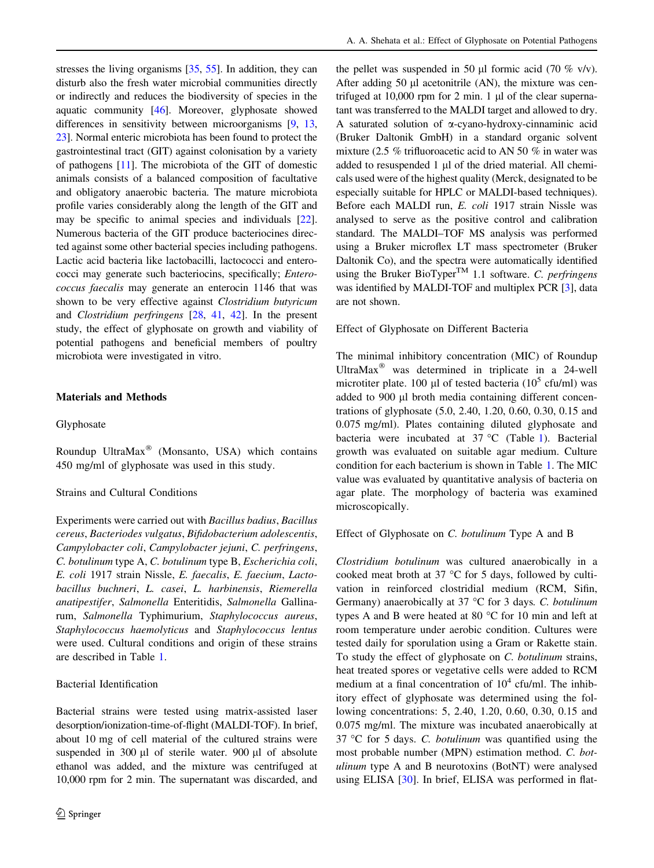stresses the living organisms [\[35,](#page-7-0) [55](#page-7-0)]. In addition, they can disturb also the fresh water microbial communities directly or indirectly and reduces the biodiversity of species in the aquatic community [[46](#page-7-0)]. Moreover, glyphosate showed differences in sensitivity between microorganisms [[9,](#page-6-0) [13,](#page-6-0) [23\]](#page-7-0). Normal enteric microbiota has been found to protect the gastrointestinal tract (GIT) against colonisation by a variety of pathogens [[11](#page-6-0)]. The microbiota of the GIT of domestic animals consists of a balanced composition of facultative and obligatory anaerobic bacteria. The mature microbiota profile varies considerably along the length of the GIT and may be specific to animal species and individuals [[22](#page-7-0)]. Numerous bacteria of the GIT produce bacteriocines directed against some other bacterial species including pathogens. Lactic acid bacteria like lactobacilli, lactococci and enterococci may generate such bacteriocins, specifically; Enterococcus faecalis may generate an enterocin 1146 that was shown to be very effective against Clostridium butyricum and Clostridium perfringens [\[28](#page-7-0), [41](#page-7-0), [42\]](#page-7-0). In the present study, the effect of glyphosate on growth and viability of potential pathogens and beneficial members of poultry microbiota were investigated in vitro.

# Materials and Methods

# Glyphosate

Roundup UltraMax® (Monsanto, USA) which contains 450 mg/ml of glyphosate was used in this study.

### Strains and Cultural Conditions

Experiments were carried out with Bacillus badius, Bacillus cereus, Bacteriodes vulgatus, Bifidobacterium adolescentis, Campylobacter coli, Campylobacter jejuni, C. perfringens, C. botulinum type A, C. botulinum type B, Escherichia coli, E. coli 1917 strain Nissle, E. faecalis, E. faecium, Lactobacillus buchneri, L. casei, L. harbinensis, Riemerella anatipestifer, Salmonella Enteritidis, Salmonella Gallinarum, Salmonella Typhimurium, Staphylococcus aureus, Staphylococcus haemolyticus and Staphylococcus lentus were used. Cultural conditions and origin of these strains are described in Table [1.](#page-2-0)

#### Bacterial Identification

Bacterial strains were tested using matrix-assisted laser desorption/ionization-time-of-flight (MALDI-TOF). In brief, about 10 mg of cell material of the cultured strains were suspended in 300  $\mu$ l of sterile water. 900  $\mu$ l of absolute ethanol was added, and the mixture was centrifuged at 10,000 rpm for 2 min. The supernatant was discarded, and the pellet was suspended in 50 ul formic acid (70 % v/v). After adding 50 µl acetonitrile (AN), the mixture was centrifuged at  $10,000$  rpm for 2 min. 1  $\mu$ l of the clear supernatant was transferred to the MALDI target and allowed to dry. A saturated solution of  $\alpha$ -cyano-hydroxy-cinnaminic acid (Bruker Daltonik GmbH) in a standard organic solvent mixture (2.5 % trifluoroacetic acid to AN 50 % in water was added to resuspended  $1 \mu l$  of the dried material. All chemicals used were of the highest quality (Merck, designated to be especially suitable for HPLC or MALDI-based techniques). Before each MALDI run, E. coli 1917 strain Nissle was analysed to serve as the positive control and calibration standard. The MALDI–TOF MS analysis was performed using a Bruker microflex LT mass spectrometer (Bruker Daltonik Co), and the spectra were automatically identified using the Bruker BioTyper<sup>TM</sup> 1.1 software. C. perfringens was identified by MALDI-TOF and multiplex PCR [[3](#page-6-0)], data are not shown.

Effect of Glyphosate on Different Bacteria

The minimal inhibitory concentration (MIC) of Roundup UltraMax $^{\circ}$  was determined in triplicate in a 24-well microtiter plate. 100 µl of tested bacteria ( $10^5$  cfu/ml) was added to 900 µl broth media containing different concentrations of glyphosate (5.0, 2.40, 1.20, 0.60, 0.30, 0.15 and 0.075 mg/ml). Plates containing diluted glyphosate and bacteria were incubated at  $37 °C$  (Table [1](#page-2-0)). Bacterial growth was evaluated on suitable agar medium. Culture condition for each bacterium is shown in Table [1.](#page-2-0) The MIC value was evaluated by quantitative analysis of bacteria on agar plate. The morphology of bacteria was examined microscopically.

#### Effect of Glyphosate on C. botulinum Type A and B

Clostridium botulinum was cultured anaerobically in a cooked meat broth at 37  $\degree$ C for 5 days, followed by cultivation in reinforced clostridial medium (RCM, Sifin, Germany) anaerobically at 37 °C for 3 days. C. botulinum types A and B were heated at 80  $\degree$ C for 10 min and left at room temperature under aerobic condition. Cultures were tested daily for sporulation using a Gram or Rakette stain. To study the effect of glyphosate on C. botulinum strains, heat treated spores or vegetative cells were added to RCM medium at a final concentration of  $10^4$  cfu/ml. The inhibitory effect of glyphosate was determined using the following concentrations: 5, 2.40, 1.20, 0.60, 0.30, 0.15 and 0.075 mg/ml. The mixture was incubated anaerobically at 37 °C for 5 days. C. botulinum was quantified using the most probable number (MPN) estimation method. C. botulinum type A and B neurotoxins (BotNT) were analysed using ELISA [\[30\]](#page-7-0). In brief, ELISA was performed in flat-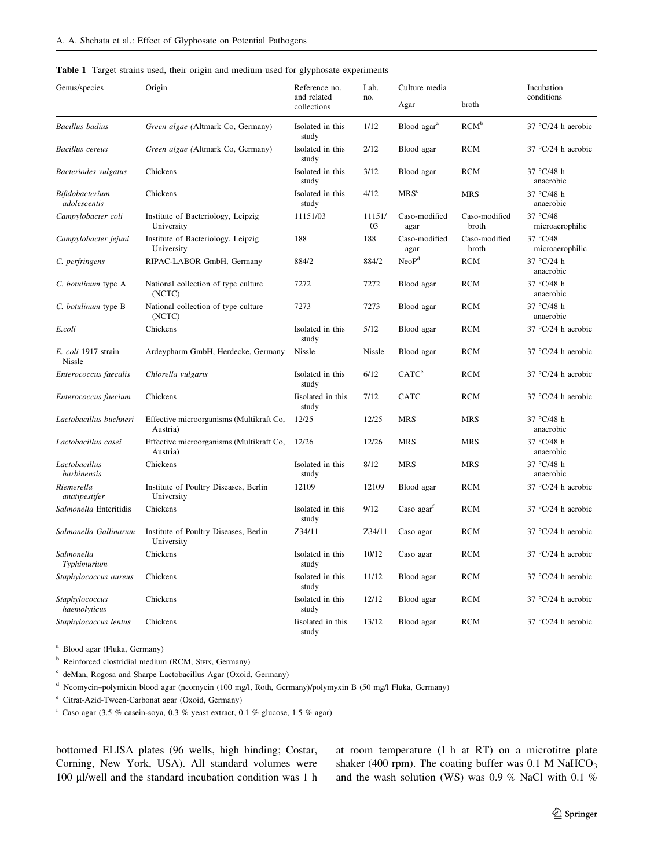<span id="page-2-0"></span>

|  |  |  |  |  |  |  |  |  |  |  | Table 1 Target strains used, their origin and medium used for glyphosate experiments |
|--|--|--|--|--|--|--|--|--|--|--|--------------------------------------------------------------------------------------|
|--|--|--|--|--|--|--|--|--|--|--|--------------------------------------------------------------------------------------|

| Genus/species                        | Origin                                               | Reference no.              | Lab.         | Culture media           |                        | Incubation                  |
|--------------------------------------|------------------------------------------------------|----------------------------|--------------|-------------------------|------------------------|-----------------------------|
|                                      |                                                      | and related<br>collections | no.          | Agar                    | broth                  | conditions                  |
| <b>Bacillus</b> badius               | Green algae (Altmark Co, Germany)                    | Isolated in this<br>study  | 1/12         | Blood agar <sup>a</sup> | RCM <sup>b</sup>       | 37 $\degree$ C/24 h aerobic |
| <b>Bacillus</b> cereus               | Green algae (Altmark Co, Germany)                    | Isolated in this<br>study  | 2/12         | Blood agar              | <b>RCM</b>             | 37 $°C/24$ h aerobic        |
| Bacteriodes vulgatus                 | Chickens                                             | Isolated in this<br>study  | 3/12         | Blood agar              | <b>RCM</b>             | 37 °C/48 h<br>anaerobic     |
| Bifidobacterium<br>adolescentis      | Chickens                                             | Isolated in this<br>study  | 4/12         | MRS <sup>c</sup>        | <b>MRS</b>             | 37 °C/48 h<br>anaerobic     |
| Campylobacter coli                   | Institute of Bacteriology, Leipzig<br>University     | 11151/03                   | 11151/<br>03 | Caso-modified<br>agar   | Caso-modified<br>broth | 37 °C/48<br>microaerophilic |
| Campylobacter jejuni                 | Institute of Bacteriology, Leipzig<br>University     | 188                        | 188          | Caso-modified<br>agar   | Caso-modified<br>broth | 37 °C/48<br>microaerophilic |
| C. perfringens                       | RIPAC-LABOR GmbH, Germany                            | 884/2                      | 884/2        | NeoP <sup>d</sup>       | <b>RCM</b>             | 37 °C/24 h<br>anaerobic     |
| C. botulinum type A                  | National collection of type culture<br>(NCTC)        | 7272                       | 7272         | Blood agar              | <b>RCM</b>             | 37 °C/48 h<br>anaerobic     |
| C. botulinum type B                  | National collection of type culture<br>(NCTC)        | 7273                       | 7273         | Blood agar              | <b>RCM</b>             | 37 °C/48 h<br>anaerobic     |
| E.coli                               | Chickens                                             | Isolated in this<br>study  | 5/12         | Blood agar              | <b>RCM</b>             | 37 $\degree$ C/24 h aerobic |
| E. coli 1917 strain<br><b>Nissle</b> | Ardeypharm GmbH, Herdecke, Germany                   | <b>Nissle</b>              | Nissle       | Blood agar              | <b>RCM</b>             | 37 °C/24 h aerobic          |
| Enterococcus faecalis                | Chlorella vulgaris                                   | Isolated in this<br>study  | 6/12         | CATC <sup>e</sup>       | <b>RCM</b>             | 37 $\degree$ C/24 h aerobic |
| Enterococcus faecium                 | Chickens                                             | Iisolated in this<br>study | 7/12         | <b>CATC</b>             | <b>RCM</b>             | 37 °C/24 h aerobic          |
| Lactobacillus buchneri               | Effective microorganisms (Multikraft Co,<br>Austria) | 12/25                      | 12/25        | <b>MRS</b>              | <b>MRS</b>             | 37 °C/48 h<br>anaerobic     |
| Lactobacillus casei                  | Effective microorganisms (Multikraft Co,<br>Austria) | 12/26                      | 12/26        | <b>MRS</b>              | <b>MRS</b>             | 37 °C/48 h<br>anaerobic     |
| Lactobacillus<br>harbinensis         | Chickens                                             | Isolated in this<br>study  | 8/12         | <b>MRS</b>              | <b>MRS</b>             | 37 °C/48 h<br>anaerobic     |
| Riemerella<br>anatipestifer          | Institute of Poultry Diseases, Berlin<br>University  | 12109                      | 12109        | Blood agar              | <b>RCM</b>             | 37 $°C/24$ h aerobic        |
| Salmonella Enteritidis               | Chickens                                             | Isolated in this<br>study  | 9/12         | Caso $agart$            | <b>RCM</b>             | 37 $\degree$ C/24 h aerobic |
| Salmonella Gallinarum                | Institute of Poultry Diseases, Berlin<br>University  | Z34/11                     | Z34/11       | Caso agar               | <b>RCM</b>             | $37^{\circ}$ C/24 h aerobic |
| Salmonella<br>Typhimurium            | Chickens                                             | Isolated in this<br>study  | 10/12        | Caso agar               | <b>RCM</b>             | 37 $\degree$ C/24 h aerobic |
| Staphylococcus aureus                | Chickens                                             | Isolated in this<br>study  | 11/12        | Blood agar              | <b>RCM</b>             | 37 $\degree$ C/24 h aerobic |
| Staphylococcus<br>haemolyticus       | Chickens                                             | Isolated in this<br>study  | 12/12        | Blood agar              | <b>RCM</b>             | 37 $\degree$ C/24 h aerobic |
| Staphylococcus lentus                | Chickens                                             | Iisolated in this<br>study | 13/12        | Blood agar              | <b>RCM</b>             | $37^{\circ}$ C/24 h aerobic |

<sup>a</sup> Blood agar (Fluka, Germany)

<sup>b</sup> Reinforced clostridial medium (RCM, SIFIN, Germany)

<sup>c</sup> deMan, Rogosa and Sharpe Lactobacillus Agar (Oxoid, Germany)

<sup>d</sup> Neomycin–polymixin blood agar (neomycin (100 mg/l, Roth, Germany)/polymyxin B (50 mg/l Fluka, Germany)

<sup>e</sup> Citrat-Azid-Tween-Carbonat agar (Oxoid, Germany)

 $^{\rm f}$  Caso agar (3.5 % casein-soya, 0.3 % yeast extract, 0.1 % glucose, 1.5 % agar)

bottomed ELISA plates (96 wells, high binding; Costar, Corning, New York, USA). All standard volumes were 100 µl/well and the standard incubation condition was 1 h at room temperature (1 h at RT) on a microtitre plate shaker (400 rpm). The coating buffer was  $0.1$  M NaHCO<sub>3</sub> and the wash solution (WS) was 0.9 % NaCl with 0.1 %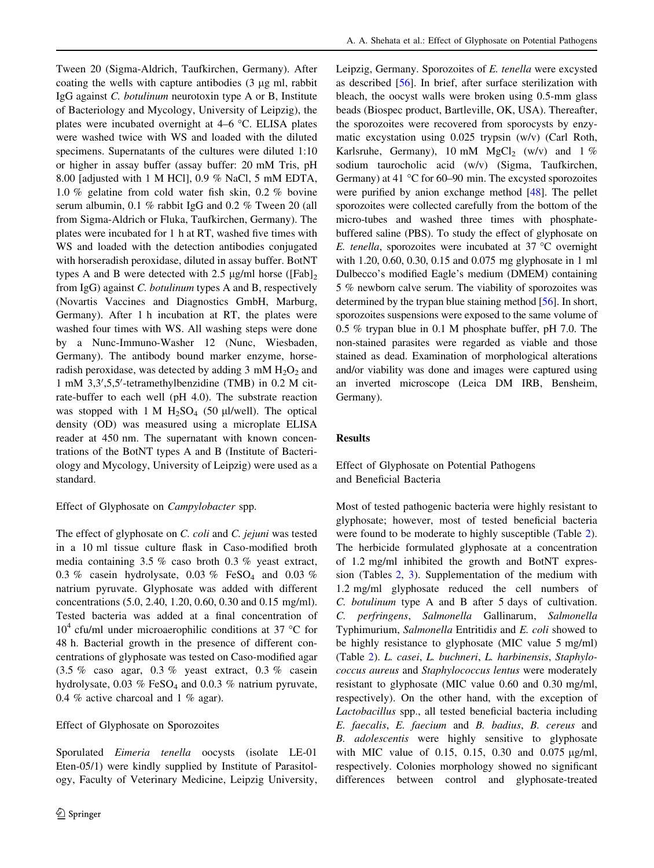Tween 20 (Sigma-Aldrich, Taufkirchen, Germany). After coating the wells with capture antibodies  $(3 \mu g \text{ ml}, \text{rabbit})$ IgG against C. botulinum neurotoxin type A or B, Institute of Bacteriology and Mycology, University of Leipzig), the plates were incubated overnight at  $4-6$  °C. ELISA plates were washed twice with WS and loaded with the diluted specimens. Supernatants of the cultures were diluted 1:10 or higher in assay buffer (assay buffer: 20 mM Tris, pH 8.00 [adjusted with 1 M HCl], 0.9 % NaCl, 5 mM EDTA, 1.0 % gelatine from cold water fish skin, 0.2 % bovine serum albumin, 0.1 % rabbit IgG and 0.2 % Tween 20 (all from Sigma-Aldrich or Fluka, Taufkirchen, Germany). The plates were incubated for 1 h at RT, washed five times with WS and loaded with the detection antibodies conjugated with horseradish peroxidase, diluted in assay buffer. BotNT types A and B were detected with 2.5  $\mu$ g/ml horse ([Fab]<sub>2</sub> from IgG) against C. botulinum types A and B, respectively (Novartis Vaccines and Diagnostics GmbH, Marburg, Germany). After 1 h incubation at RT, the plates were washed four times with WS. All washing steps were done by a Nunc-Immuno-Washer 12 (Nunc, Wiesbaden, Germany). The antibody bound marker enzyme, horseradish peroxidase, was detected by adding  $3 \text{ mM } H_2O_2$  and 1 mM 3,3',5,5'-tetramethylbenzidine (TMB) in 0.2 M citrate-buffer to each well (pH 4.0). The substrate reaction was stopped with 1 M  $H_2SO_4$  (50 µl/well). The optical density (OD) was measured using a microplate ELISA reader at 450 nm. The supernatant with known concentrations of the BotNT types A and B (Institute of Bacteriology and Mycology, University of Leipzig) were used as a standard.

# Effect of Glyphosate on Campylobacter spp.

The effect of glyphosate on C. coli and C. jejuni was tested in a 10 ml tissue culture flask in Caso-modified broth media containing 3.5 % caso broth 0.3 % yeast extract, 0.3 % casein hydrolysate, 0.03 % FeSO<sub>4</sub> and 0.03 % natrium pyruvate. Glyphosate was added with different concentrations (5.0, 2.40, 1.20, 0.60, 0.30 and 0.15 mg/ml). Tested bacteria was added at a final concentration of  $10<sup>4</sup>$  cfu/ml under microaerophilic conditions at 37 °C for 48 h. Bacterial growth in the presence of different concentrations of glyphosate was tested on Caso-modified agar (3.5 % caso agar, 0.3 % yeast extract, 0.3 % casein hydrolysate, 0.03 % FeSO<sub>4</sub> and 0.0.3 % natrium pyruvate, 0.4 % active charcoal and 1 % agar).

# Effect of Glyphosate on Sporozoites

Sporulated Eimeria tenella oocysts (isolate LE-01 Eten-05/1) were kindly supplied by Institute of Parasitology, Faculty of Veterinary Medicine, Leipzig University, Leipzig, Germany. Sporozoites of E. tenella were excysted as described [[56\]](#page-8-0). In brief, after surface sterilization with bleach, the oocyst walls were broken using 0.5-mm glass beads (Biospec product, Bartleville, OK, USA). Thereafter, the sporozoites were recovered from sporocysts by enzymatic excystation using 0.025 trypsin (w/v) (Carl Roth, Karlsruhe, Germany), 10 mM  $MgCl<sub>2</sub>$  (w/v) and 1 % sodium taurocholic acid (w/v) (Sigma, Taufkirchen, Germany) at 41  $\degree$ C for 60–90 min. The excysted sporozoites were purified by anion exchange method [\[48\]](#page-7-0). The pellet sporozoites were collected carefully from the bottom of the micro-tubes and washed three times with phosphatebuffered saline (PBS). To study the effect of glyphosate on E. tenella, sporozoites were incubated at 37  $^{\circ}$ C overnight with 1.20, 0.60, 0.30, 0.15 and 0.075 mg glyphosate in 1 ml Dulbecco's modified Eagle's medium (DMEM) containing 5 % newborn calve serum. The viability of sporozoites was determined by the trypan blue staining method [\[56\]](#page-8-0). In short, sporozoites suspensions were exposed to the same volume of 0.5 % trypan blue in 0.1 M phosphate buffer, pH 7.0. The non-stained parasites were regarded as viable and those stained as dead. Examination of morphological alterations and/or viability was done and images were captured using an inverted microscope (Leica DM IRB, Bensheim, Germany).

# Results

# Effect of Glyphosate on Potential Pathogens and Beneficial Bacteria

Most of tested pathogenic bacteria were highly resistant to glyphosate; however, most of tested beneficial bacteria were found to be moderate to highly susceptible (Table [2](#page-4-0)). The herbicide formulated glyphosate at a concentration of 1.2 mg/ml inhibited the growth and BotNT expression (Tables [2](#page-4-0), [3](#page-5-0)). Supplementation of the medium with 1.2 mg/ml glyphosate reduced the cell numbers of C. botulinum type A and B after 5 days of cultivation. C. perfringens, Salmonella Gallinarum, Salmonella Typhimurium, Salmonella Entritidis and E. coli showed to be highly resistance to glyphosate (MIC value 5 mg/ml) (Table [2\)](#page-4-0). L. casei, L. buchneri, L. harbinensis, Staphylococcus aureus and Staphylococcus lentus were moderately resistant to glyphosate (MIC value 0.60 and 0.30 mg/ml, respectively). On the other hand, with the exception of Lactobacillus spp., all tested beneficial bacteria including E. faecalis, E. faecium and B. badius, B. cereus and B. adolescentis were highly sensitive to glyphosate with MIC value of 0.15, 0.15, 0.30 and 0.075  $\mu$ g/ml, respectively. Colonies morphology showed no significant differences between control and glyphosate-treated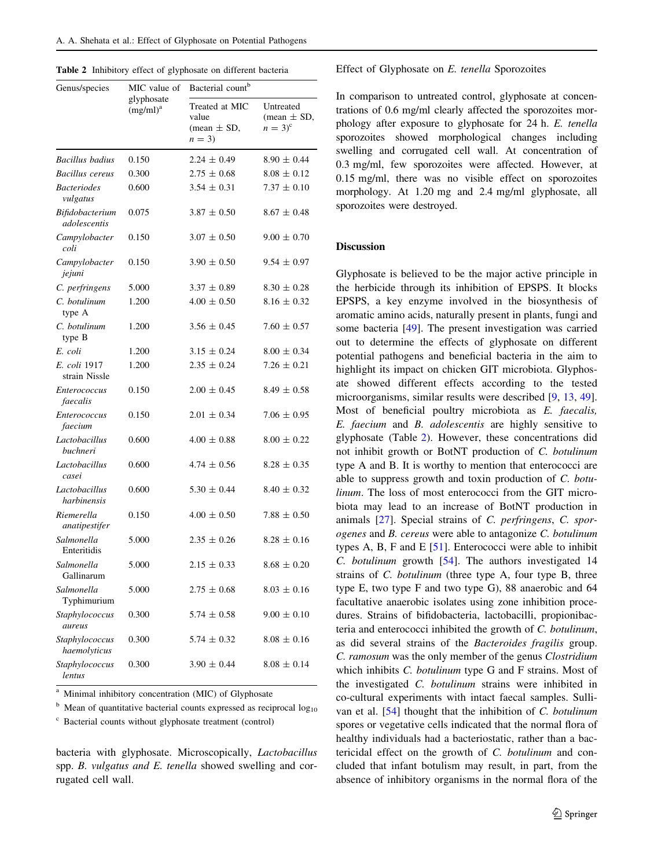<span id="page-4-0"></span>

| Genus/species                   | MIC value of              | Bacterial count <sup>b</sup>                          |                                            |  |  |  |
|---------------------------------|---------------------------|-------------------------------------------------------|--------------------------------------------|--|--|--|
|                                 | glyphosate<br>$(mg/ml)^a$ | Treated at MIC<br>value<br>(mean $\pm$ SD,<br>$n = 3$ | Untreated<br>(mean $\pm$ SD,<br>$n = 3)^c$ |  |  |  |
| <b>Bacillus</b> badius          | 0.150                     | $2.24 \pm 0.49$                                       | $8.90 \pm 0.44$                            |  |  |  |
| <b>Bacillus cereus</b>          | 0.300                     | $2.75 \pm 0.68$                                       | $8.08 \pm 0.12$                            |  |  |  |
| <b>Bacteriodes</b><br>vulgatus  | 0.600                     | $3.54 \pm 0.31$                                       | $7.37 \pm 0.10$                            |  |  |  |
| Bifidobacterium<br>adolescentis | 0.075                     | $3.87 \pm 0.50$                                       | $8.67 \pm 0.48$                            |  |  |  |
| Campylobacter<br>coli           | 0.150                     | $3.07 \pm 0.50$                                       | $9.00 \pm 0.70$                            |  |  |  |
| Campylobacter<br>jejuni         | 0.150                     | $3.90 \pm 0.50$                                       | $9.54 \pm 0.97$                            |  |  |  |
| C. perfringens                  | 5.000                     | $3.37 \pm 0.89$                                       | $8.30 \pm 0.28$                            |  |  |  |
| C. botulinum<br>type A          | 1.200                     | $4.00 \pm 0.50$                                       | $8.16 \pm 0.32$                            |  |  |  |
| C. botulinum<br>type B          | 1.200                     | $3.56 \pm 0.45$                                       | $7.60 \pm 0.57$                            |  |  |  |
| E. coli                         | 1.200                     | $3.15 \pm 0.24$                                       | $8.00 \pm 0.34$                            |  |  |  |
| E. coli 1917<br>strain Nissle   | 1.200                     | $2.35 \pm 0.24$                                       | $7.26 \pm 0.21$                            |  |  |  |
| Enterococcus<br>faecalis        | 0.150                     | $2.00 \pm 0.45$                                       | $8.49 \pm 0.58$                            |  |  |  |
| <i>Enterococcus</i><br>faecium  | 0.150                     | $2.01 \pm 0.34$                                       | $7.06 \pm 0.95$                            |  |  |  |
| Lactobacillus<br>buchneri       | 0.600                     | $4.00 \pm 0.88$                                       | $8.00 \pm 0.22$                            |  |  |  |
| Lactobacillus<br>casei          | 0.600                     | $4.74 \pm 0.56$                                       | $8.28 \pm 0.35$                            |  |  |  |
| Lactobacillus<br>harbinensis    | 0.600                     | $5.30 \pm 0.44$                                       | $8.40 \pm 0.32$                            |  |  |  |
| Riemerella<br>anatipestifer     | 0.150                     | $4.00 \pm 0.50$                                       | $7.88 \pm 0.50$                            |  |  |  |
| Salmonella<br>Enteritidis       | 5.000                     | $2.35 \pm 0.26$                                       | $8.28 \pm 0.16$                            |  |  |  |
| Salmonella<br>Gallinarum        | 5.000                     | $2.15 \pm 0.33$                                       | $8.68 \pm 0.20$                            |  |  |  |
| Salmonella<br>Typhimurium       | 5.000                     | $2.75 \pm 0.68$                                       | $8.03 \pm 0.16$                            |  |  |  |
| Staphylococcus<br><i>aureus</i> | 0.300                     | $5.74 \pm 0.58$                                       | $9.00 \pm 0.10$                            |  |  |  |
| Staphylococcus<br>haemolyticus  | 0.300                     | $5.74 \pm 0.32$                                       | $8.08 \pm 0.16$                            |  |  |  |
| Staphylococcus<br>lentus        | 0.300                     | $3.90 \pm 0.44$                                       | $8.08 \pm 0.14$                            |  |  |  |

Minimal inhibitory concentration (MIC) of Glyphosate

<sup>b</sup> Mean of quantitative bacterial counts expressed as reciprocal  $log_{10}$ 

<sup>c</sup> Bacterial counts without glyphosate treatment (control)

bacteria with glyphosate. Microscopically, Lactobacillus spp. B. vulgatus and E. tenella showed swelling and corrugated cell wall.

#### Effect of Glyphosate on E. tenella Sporozoites

In comparison to untreated control, glyphosate at concentrations of 0.6 mg/ml clearly affected the sporozoites morphology after exposure to glyphosate for 24 h. E. tenella sporozoites showed morphological changes including swelling and corrugated cell wall. At concentration of 0.3 mg/ml, few sporozoites were affected. However, at 0.15 mg/ml, there was no visible effect on sporozoites morphology. At 1.20 mg and 2.4 mg/ml glyphosate, all sporozoites were destroyed.

# Discussion

Glyphosate is believed to be the major active principle in the herbicide through its inhibition of EPSPS. It blocks EPSPS, a key enzyme involved in the biosynthesis of aromatic amino acids, naturally present in plants, fungi and some bacteria [[49\]](#page-7-0). The present investigation was carried out to determine the effects of glyphosate on different potential pathogens and beneficial bacteria in the aim to highlight its impact on chicken GIT microbiota. Glyphosate showed different effects according to the tested microorganisms, similar results were described [[9,](#page-6-0) [13](#page-6-0), [49](#page-7-0)]. Most of beneficial poultry microbiota as E. faecalis, E. faecium and B. adolescentis are highly sensitive to glyphosate (Table 2). However, these concentrations did not inhibit growth or BotNT production of C. botulinum type A and B. It is worthy to mention that enterococci are able to suppress growth and toxin production of C. botulinum. The loss of most enterococci from the GIT microbiota may lead to an increase of BotNT production in animals [\[27](#page-7-0)]. Special strains of C. perfringens, C. sporogenes and B. cereus were able to antagonize C. botulinum types A, B, F and E  $[51]$ . Enterococci were able to inhibit C. botulinum growth [[54\]](#page-7-0). The authors investigated 14 strains of C. botulinum (three type A, four type B, three type E, two type F and two type G), 88 anaerobic and 64 facultative anaerobic isolates using zone inhibition procedures. Strains of bifidobacteria, lactobacilli, propionibacteria and enterococci inhibited the growth of C. botulinum, as did several strains of the Bacteroides fragilis group. C. ramosum was the only member of the genus Clostridium which inhibits C. botulinum type G and F strains. Most of the investigated C. botulinum strains were inhibited in co-cultural experiments with intact faecal samples. Sullivan et al. [\[54](#page-7-0)] thought that the inhibition of C. botulinum spores or vegetative cells indicated that the normal flora of healthy individuals had a bacteriostatic, rather than a bactericidal effect on the growth of C. botulinum and concluded that infant botulism may result, in part, from the absence of inhibitory organisms in the normal flora of the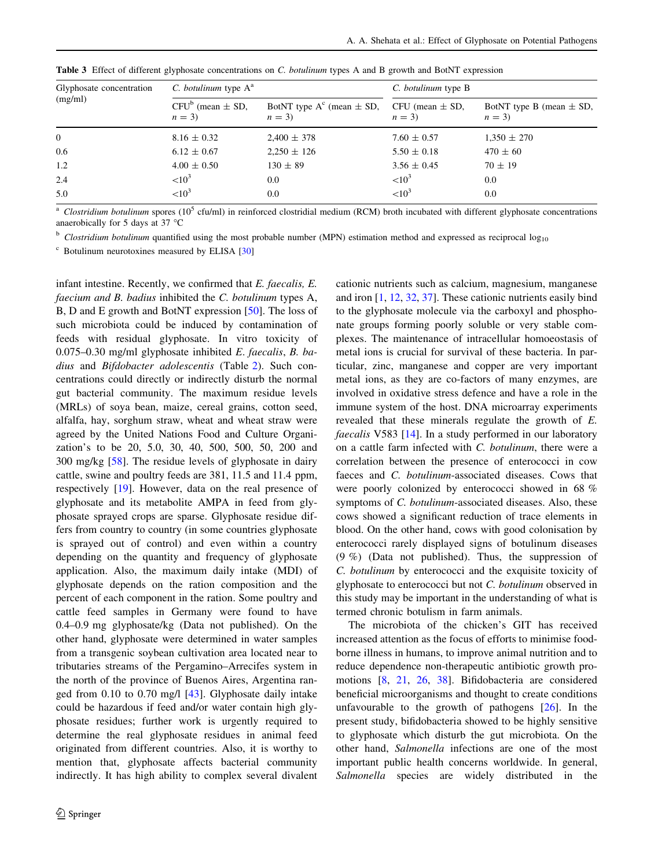| Glyphosate concentration | C. botulinum type A <sup>a</sup> |                                           | C. botulinum type B          |                                       |  |  |
|--------------------------|----------------------------------|-------------------------------------------|------------------------------|---------------------------------------|--|--|
| (mg/ml)                  | $CFU^b$ (mean $\pm$ SD,<br>$n=3$ | BotNT type $A^c$ (mean $\pm$ SD,<br>$n=3$ | CFU (mean $\pm$ SD,<br>$n=3$ | BotNT type B (mean $\pm$ SD,<br>$n=3$ |  |  |
| $\overline{0}$           | $8.16 \pm 0.32$                  | $2,400 \pm 378$                           | $7.60 \pm 0.57$              | $1,350 \pm 270$                       |  |  |
| 0.6                      | $6.12 \pm 0.67$                  | $2,250 \pm 126$                           | $5.50 \pm 0.18$              | $470 \pm 60$                          |  |  |
| 1.2                      | $4.00 \pm 0.50$                  | $130 \pm 89$                              | $3.56 \pm 0.45$              | $70 \pm 19$                           |  |  |
| 2.4                      | ${<}10^3$                        | 0.0                                       | ${<}10^3$                    | 0.0                                   |  |  |
| 5.0                      | ${<}10^3$                        | 0.0                                       | ${<}10^3$                    | 0.0                                   |  |  |

<span id="page-5-0"></span>Table 3 Effect of different glyphosate concentrations on C. botulinum types A and B growth and BotNT expression

 $^a$  Clostridium botulinum spores (10<sup>5</sup> cfu/ml) in reinforced clostridial medium (RCM) broth incubated with different glyphosate concentrations anaerobically for 5 days at 37  $^{\circ}$ C

<sup>b</sup> Clostridium botulinum quantified using the most probable number (MPN) estimation method and expressed as reciprocal  $\log_{10}$ 

 $\degree$  Botulinum neurotoxines measured by ELISA [\[30\]](#page-7-0)

infant intestine. Recently, we confirmed that E. faecalis, E. faecium and B. badius inhibited the C. botulinum types A, B, D and E growth and BotNT expression [[50\]](#page-7-0). The loss of such microbiota could be induced by contamination of feeds with residual glyphosate. In vitro toxicity of 0.075–0.30 mg/ml glyphosate inhibited E. faecalis, B. badius and Bifdobacter adolescentis (Table [2\)](#page-4-0). Such concentrations could directly or indirectly disturb the normal gut bacterial community. The maximum residue levels (MRLs) of soya bean, maize, cereal grains, cotton seed, alfalfa, hay, sorghum straw, wheat and wheat straw were agreed by the United Nations Food and Culture Organization's to be 20, 5.0, 30, 40, 500, 500, 50, 200 and 300 mg/kg [[58\]](#page-8-0). The residue levels of glyphosate in dairy cattle, swine and poultry feeds are 381, 11.5 and 11.4 ppm, respectively [\[19](#page-7-0)]. However, data on the real presence of glyphosate and its metabolite AMPA in feed from glyphosate sprayed crops are sparse. Glyphosate residue differs from country to country (in some countries glyphosate is sprayed out of control) and even within a country depending on the quantity and frequency of glyphosate application. Also, the maximum daily intake (MDI) of glyphosate depends on the ration composition and the percent of each component in the ration. Some poultry and cattle feed samples in Germany were found to have 0.4–0.9 mg glyphosate/kg (Data not published). On the other hand, glyphosate were determined in water samples from a transgenic soybean cultivation area located near to tributaries streams of the Pergamino–Arrecifes system in the north of the province of Buenos Aires, Argentina ranged from 0.10 to 0.70 mg/l [[43\]](#page-7-0). Glyphosate daily intake could be hazardous if feed and/or water contain high glyphosate residues; further work is urgently required to determine the real glyphosate residues in animal feed originated from different countries. Also, it is worthy to mention that, glyphosate affects bacterial community indirectly. It has high ability to complex several divalent cationic nutrients such as calcium, magnesium, manganese and iron [[1,](#page-6-0) [12,](#page-6-0) [32,](#page-7-0) [37](#page-7-0)]. These cationic nutrients easily bind to the glyphosate molecule via the carboxyl and phosphonate groups forming poorly soluble or very stable complexes. The maintenance of intracellular homoeostasis of metal ions is crucial for survival of these bacteria. In particular, zinc, manganese and copper are very important metal ions, as they are co-factors of many enzymes, are involved in oxidative stress defence and have a role in the immune system of the host. DNA microarray experiments revealed that these minerals regulate the growth of E. faecalis V583 [[14\]](#page-6-0). In a study performed in our laboratory on a cattle farm infected with C. botulinum, there were a correlation between the presence of enterococci in cow faeces and C. botulinum-associated diseases. Cows that were poorly colonized by enterococci showed in 68 % symptoms of C. botulinum-associated diseases. Also, these cows showed a significant reduction of trace elements in blood. On the other hand, cows with good colonisation by enterococci rarely displayed signs of botulinum diseases (9 %) (Data not published). Thus, the suppression of C. botulinum by enterococci and the exquisite toxicity of glyphosate to enterococci but not C. botulinum observed in this study may be important in the understanding of what is termed chronic botulism in farm animals.

The microbiota of the chicken's GIT has received increased attention as the focus of efforts to minimise foodborne illness in humans, to improve animal nutrition and to reduce dependence non-therapeutic antibiotic growth promotions [[8,](#page-6-0) [21](#page-7-0), [26,](#page-7-0) [38](#page-7-0)]. Bifidobacteria are considered beneficial microorganisms and thought to create conditions unfavourable to the growth of pathogens  $[26]$  $[26]$ . In the present study, bifidobacteria showed to be highly sensitive to glyphosate which disturb the gut microbiota. On the other hand, Salmonella infections are one of the most important public health concerns worldwide. In general, Salmonella species are widely distributed in the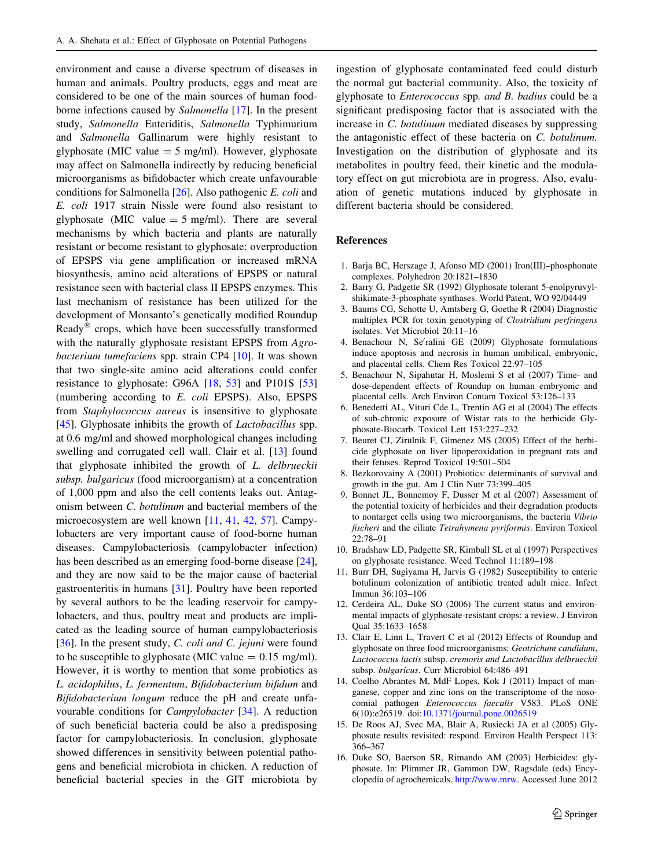<span id="page-6-0"></span>environment and cause a diverse spectrum of diseases in human and animals. Poultry products, eggs and meat are considered to be one of the main sources of human foodborne infections caused by Salmonella [\[17](#page-7-0)]. In the present study, Salmonella Enteriditis, Salmonella Typhimurium and Salmonella Gallinarum were highly resistant to glyphosate (MIC value  $= 5$  mg/ml). However, glyphosate may affect on Salmonella indirectly by reducing beneficial microorganisms as bifidobacter which create unfavourable conditions for Salmonella [\[26](#page-7-0)]. Also pathogenic E. coli and E. coli 1917 strain Nissle were found also resistant to glyphosate (MIC value  $=$  5 mg/ml). There are several mechanisms by which bacteria and plants are naturally resistant or become resistant to glyphosate: overproduction of EPSPS via gene amplification or increased mRNA biosynthesis, amino acid alterations of EPSPS or natural resistance seen with bacterial class II EPSPS enzymes. This last mechanism of resistance has been utilized for the development of Monsanto's genetically modified Roundup Ready $^{\circledR}$  crops, which have been successfully transformed with the naturally glyphosate resistant EPSPS from Agrobacterium tumefaciens spp. strain CP4 [10]. It was shown that two single-site amino acid alterations could confer resistance to glyphosate: G96A [\[18](#page-7-0), [53\]](#page-7-0) and P101S [[53\]](#page-7-0) (numbering according to E. coli EPSPS). Also, EPSPS from Staphylococcus aureus is insensitive to glyphosate [\[45](#page-7-0)]. Glyphosate inhibits the growth of *Lactobacillus* spp. at 0.6 mg/ml and showed morphological changes including swelling and corrugated cell wall. Clair et al. [13] found that glyphosate inhibited the growth of L. delbrueckii subsp. bulgaricus (food microorganism) at a concentration of 1,000 ppm and also the cell contents leaks out. Antagonism between C. botulinum and bacterial members of the microecosystem are well known [11, [41,](#page-7-0) [42,](#page-7-0) [57\]](#page-8-0). Campylobacters are very important cause of food-borne human diseases. Campylobacteriosis (campylobacter infection) has been described as an emerging food-borne disease [\[24](#page-7-0)], and they are now said to be the major cause of bacterial gastroenteritis in humans [[31\]](#page-7-0). Poultry have been reported by several authors to be the leading reservoir for campylobacters, and thus, poultry meat and products are implicated as the leading source of human campylobacteriosis [\[36](#page-7-0)]. In the present study, C. coli and C. jejuni were found to be susceptible to glyphosate (MIC value  $= 0.15$  mg/ml). However, it is worthy to mention that some probiotics as L. acidophilus, L. fermentum, Bifidobacterium bifidum and Bifidobacterium longum reduce the pH and create unfavourable conditions for Campylobacter [\[34](#page-7-0)]. A reduction of such beneficial bacteria could be also a predisposing factor for campylobacteriosis. In conclusion, glyphosate showed differences in sensitivity between potential pathogens and beneficial microbiota in chicken. A reduction of beneficial bacterial species in the GIT microbiota by ingestion of glyphosate contaminated feed could disturb the normal gut bacterial community. Also, the toxicity of glyphosate to Enterococcus spp. and B. badius could be a significant predisposing factor that is associated with the increase in C. botulinum mediated diseases by suppressing the antagonistic effect of these bacteria on C. botulinum. Investigation on the distribution of glyphosate and its metabolites in poultry feed, their kinetic and the modulatory effect on gut microbiota are in progress. Also, evaluation of genetic mutations induced by glyphosate in different bacteria should be considered.

# References

- 1. Barja BC, Herszage J, Afonso MD (2001) Iron(III)–phosphonate complexes. Polyhedron 20:1821–1830
- 2. Barry G, Padgette SR (1992) Glyphosate tolerant 5-enolpyruvylshikimate-3-phosphate synthases. World Patent, WO 92/04449
- 3. Baums CG, Schotte U, Amtsberg G, Goethe R (2004) Diagnostic multiplex PCR for toxin genotyping of Clostridium perfringens isolates. Vet Microbiol 20:11–16
- 4. Benachour N, Se'ralini GE (2009) Glyphosate formulations induce apoptosis and necrosis in human umbilical, embryonic, and placental cells. Chem Res Toxicol 22:97–105
- 5. Benachour N, Sipahutar H, Moslemi S et al (2007) Time- and dose-dependent effects of Roundup on human embryonic and placental cells. Arch Environ Contam Toxicol 53:126–133
- 6. Benedetti AL, Vituri Cde L, Trentin AG et al (2004) The effects of sub-chronic exposure of Wistar rats to the herbicide Glyphosate-Biocarb. Toxicol Lett 153:227–232
- 7. Beuret CJ, Zirulnik F, Gimenez MS (2005) Effect of the herbicide glyphosate on liver lipoperoxidation in pregnant rats and their fetuses. Reprod Toxicol 19:501–504
- 8. Bezkorovainy A (2001) Probiotics: determinants of survival and growth in the gut. Am J Clin Nutr 73:399–405
- 9. Bonnet JL, Bonnemoy F, Dusser M et al (2007) Assessment of the potential toxicity of herbicides and their degradation products to nontarget cells using two microorganisms, the bacteria Vibrio fischeri and the ciliate Tetrahymena pyriformis. Environ Toxicol 22:78–91
- 10. Bradshaw LD, Padgette SR, Kimball SL et al (1997) Perspectives on glyphosate resistance. Weed Technol 11:189–198
- 11. Burr DH, Sugiyama H, Jarvis G (1982) Susceptibility to enteric botulinum colonization of antibiotic treated adult mice. Infect Immun 36:103–106
- 12. Cerdeira AL, Duke SO (2006) The current status and environmental impacts of glyphosate-resistant crops: a review. J Environ Qual 35:1633–1658
- 13. Clair E, Linn L, Travert C et al (2012) Effects of Roundup and glyphosate on three food microorganisms: Geotrichum candidum, Lactococcus lactis subsp. cremoris and Lactobacillus delbrueckii subsp. bulgaricus. Curr Microbiol 64:486–491
- 14. Coelho Abrantes M, MdF Lopes, Kok J (2011) Impact of manganese, copper and zinc ions on the transcriptome of the nosocomial pathogen Enterococcus faecalis V583. PLoS ONE 6(10):e26519. doi:[10.1371/journal.pone.0026519](http://dx.doi.org/10.1371/journal.pone.0026519)
- 15. De Roos AJ, Svec MA, Blair A, Rusiecki JA et al (2005) Glyphosate results revisited: respond. Environ Health Perspect 113: 366–367
- 16. Duke SO, Baerson SR, Rimando AM (2003) Herbicides: glyphosate. In: Plimmer JR, Gammon DW, Ragsdale (eds) Encyclopedia of agrochemicals. [http://www.mrw.](http://www.mrw) Accessed June 2012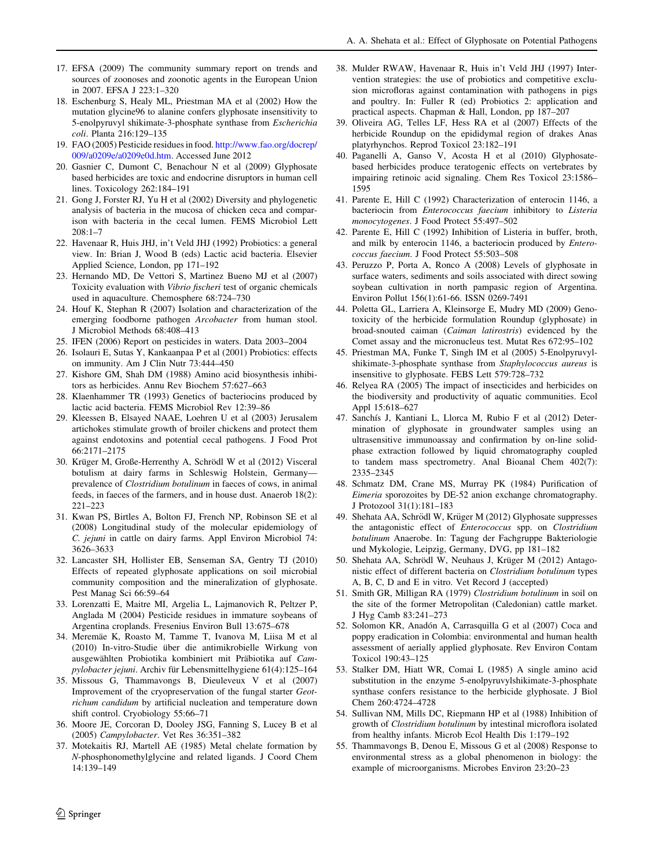- <span id="page-7-0"></span>17. EFSA (2009) The community summary report on trends and sources of zoonoses and zoonotic agents in the European Union in 2007. EFSA J 223:1–320
- 18. Eschenburg S, Healy ML, Priestman MA et al (2002) How the mutation glycine96 to alanine confers glyphosate insensitivity to 5-enolpyruvyl shikimate-3-phosphate synthase from Escherichia coli. Planta 216:129–135
- 19. FAO (2005) Pesticide residues in food. [http://www.fao.org/docrep/](http://www.fao.org/docrep/009/a0209e/a0209e0d.htm) [009/a0209e/a0209e0d.htm.](http://www.fao.org/docrep/009/a0209e/a0209e0d.htm) Accessed June 2012
- 20. Gasnier C, Dumont C, Benachour N et al (2009) Glyphosate based herbicides are toxic and endocrine disruptors in human cell lines. Toxicology 262:184–191
- 21. Gong J, Forster RJ, Yu H et al (2002) Diversity and phylogenetic analysis of bacteria in the mucosa of chicken ceca and comparison with bacteria in the cecal lumen. FEMS Microbiol Lett  $208 \cdot 1 - 7$
- 22. Havenaar R, Huis JHJ, in't Veld JHJ (1992) Probiotics: a general view. In: Brian J, Wood B (eds) Lactic acid bacteria. Elsevier Applied Science, London, pp 171–192
- 23. Hernando MD, De Vettori S, Martinez Bueno MJ et al (2007) Toxicity evaluation with Vibrio fischeri test of organic chemicals used in aquaculture. Chemosphere 68:724–730
- 24. Houf K, Stephan R (2007) Isolation and characterization of the emerging foodborne pathogen Arcobacter from human stool. J Microbiol Methods 68:408–413
- 25. IFEN (2006) Report on pesticides in waters. Data 2003–2004
- 26. Isolauri E, Sutas Y, Kankaanpaa P et al (2001) Probiotics: effects on immunity. Am J Clin Nutr 73:444–450
- 27. Kishore GM, Shah DM (1988) Amino acid biosynthesis inhibitors as herbicides. Annu Rev Biochem 57:627–663
- 28. Klaenhammer TR (1993) Genetics of bacteriocins produced by lactic acid bacteria. FEMS Microbiol Rev 12:39–86
- 29. Kleessen B, Elsayed NAAE, Loehren U et al (2003) Jerusalem artichokes stimulate growth of broiler chickens and protect them against endotoxins and potential cecal pathogens. J Food Prot 66:2171–2175
- 30. Krüger M, Große-Herrenthy A, Schrödl W et al (2012) Visceral botulism at dairy farms in Schleswig Holstein, Germany prevalence of Clostridium botulinum in faeces of cows, in animal feeds, in faeces of the farmers, and in house dust. Anaerob 18(2): 221–223
- 31. Kwan PS, Birtles A, Bolton FJ, French NP, Robinson SE et al (2008) Longitudinal study of the molecular epidemiology of C. jejuni in cattle on dairy farms. Appl Environ Microbiol 74: 3626–3633
- 32. Lancaster SH, Hollister EB, Senseman SA, Gentry TJ (2010) Effects of repeated glyphosate applications on soil microbial community composition and the mineralization of glyphosate. Pest Manag Sci 66:59–64
- 33. Lorenzatti E, Maitre MI, Argelia L, Lajmanovich R, Peltzer P, Anglada M (2004) Pesticide residues in immature soybeans of Argentina croplands. Fresenius Environ Bull 13:675–678
- 34. Meremäe K, Roasto M, Tamme T, Ivanova M, Liisa M et al (2010) In-vitro-Studie über die antimikrobielle Wirkung von ausgewählten Probiotika kombiniert mit Präbiotika auf Campylobacter jejuni. Archiv für Lebensmittelhygiene 61(4):125-164
- 35. Missous G, Thammavongs B, Dieuleveux V et al (2007) Improvement of the cryopreservation of the fungal starter Geotrichum candidum by artificial nucleation and temperature down shift control. Cryobiology 55:66–71
- 36. Moore JE, Corcoran D, Dooley JSG, Fanning S, Lucey B et al (2005) Campylobacter. Vet Res 36:351–382
- 37. Motekaitis RJ, Martell AE (1985) Metal chelate formation by N-phosphonomethylglycine and related ligands. J Coord Chem 14:139–149
- 38. Mulder RWAW, Havenaar R, Huis in't Veld JHJ (1997) Intervention strategies: the use of probiotics and competitive exclusion microfloras against contamination with pathogens in pigs and poultry. In: Fuller R (ed) Probiotics 2: application and practical aspects. Chapman & Hall, London, pp 187–207
- 39. Oliveira AG, Telles LF, Hess RA et al (2007) Effects of the herbicide Roundup on the epididymal region of drakes Anas platyrhynchos. Reprod Toxicol 23:182–191
- 40. Paganelli A, Ganso V, Acosta H et al (2010) Glyphosatebased herbicides produce teratogenic effects on vertebrates by impairing retinoic acid signaling. Chem Res Toxicol 23:1586– 1595
- 41. Parente E, Hill C (1992) Characterization of enterocin 1146, a bacteriocin from Enterococcus faecium inhibitory to Listeria monocytogenes. J Food Protect 55:497–502
- 42. Parente E, Hill C (1992) Inhibition of Listeria in buffer, broth, and milk by enterocin 1146, a bacteriocin produced by Enterococcus faecium. J Food Protect 55:503–508
- 43. Peruzzo P, Porta A, Ronco A (2008) Levels of glyphosate in surface waters, sediments and soils associated with direct sowing soybean cultivation in north pampasic region of Argentina. Environ Pollut 156(1):61-66. ISSN 0269-7491
- 44. Poletta GL, Larriera A, Kleinsorge E, Mudry MD (2009) Genotoxicity of the herbicide formulation Roundup (glyphosate) in broad-snouted caiman (Caiman latirostris) evidenced by the Comet assay and the micronucleus test. Mutat Res 672:95–102
- 45. Priestman MA, Funke T, Singh IM et al (2005) 5-Enolpyruvylshikimate-3-phosphate synthase from Staphylococcus aureus is insensitive to glyphosate. FEBS Lett 579:728–732
- 46. Relyea RA (2005) The impact of insecticides and herbicides on the biodiversity and productivity of aquatic communities. Ecol Appl 15:618–627
- 47. Sanchís J, Kantiani L, Llorca M, Rubio F et al (2012) Determination of glyphosate in groundwater samples using an ultrasensitive immunoassay and confirmation by on-line solidphase extraction followed by liquid chromatography coupled to tandem mass spectrometry. Anal Bioanal Chem 402(7): 2335–2345
- 48. Schmatz DM, Crane MS, Murray PK (1984) Purification of Eimeria sporozoites by DE-52 anion exchange chromatography. J Protozool 31(1):181–183
- 49. Shehata AA, Schrödl W, Krüger M (2012) Glyphosate suppresses the antagonistic effect of Enterococcus spp. on Clostridium botulinum Anaerobe. In: Tagung der Fachgruppe Bakteriologie und Mykologie, Leipzig, Germany, DVG, pp 181–182
- 50. Shehata AA, Schrödl W, Neuhaus J, Krüger M (2012) Antagonistic effect of different bacteria on Clostridium botulinum types A, B, C, D and E in vitro. Vet Record J (accepted)
- 51. Smith GR, Milligan RA (1979) Clostridium botulinum in soil on the site of the former Metropolitan (Caledonian) cattle market. J Hyg Camb 83:241–273
- 52. Solomon KR, Anadón A, Carrasquilla G et al (2007) Coca and poppy eradication in Colombia: environmental and human health assessment of aerially applied glyphosate. Rev Environ Contam Toxicol 190:43–125
- 53. Stalker DM, Hiatt WR, Comai L (1985) A single amino acid substitution in the enzyme 5-enolpyruvylshikimate-3-phosphate synthase confers resistance to the herbicide glyphosate. J Biol Chem 260:4724–4728
- 54. Sullivan NM, Mills DC, Riepmann HP et al (1988) Inhibition of growth of Clostridium botulinum by intestinal microflora isolated from healthy infants. Microb Ecol Health Dis 1:179–192
- 55. Thammavongs B, Denou E, Missous G et al (2008) Response to environmental stress as a global phenomenon in biology: the example of microorganisms. Microbes Environ 23:20–23